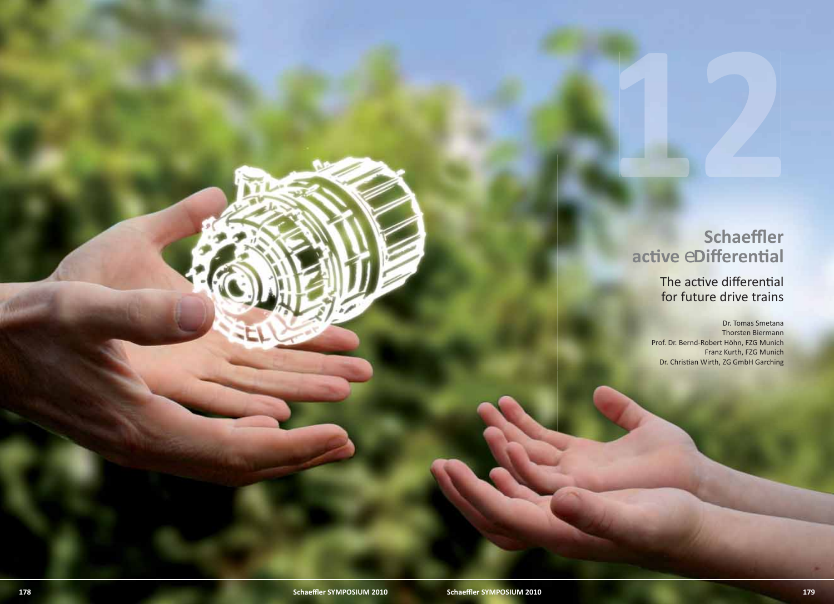# **acti ve** *e***Diff erenti al**

The active differential for future drive trains

Schaeffler<br>
active eDifferential<br>
The active differential<br>
for future drive trains<br>
end. b. Render Apple 1994<br>
Prof. b. Render Apple 1994<br>
Dec. Christmas Welft, 220 Carlos 1994<br>
Prof. b. Render Apple 1994<br>
Scharffler<br>
Scha Dr. Tomas Smetana Thorsten Biermann Prof. Dr. Bernd-Robert Höhn, FZG Munich Franz Kurth, FZG Munich Dr. Christian Wirth, ZG GmbH Garching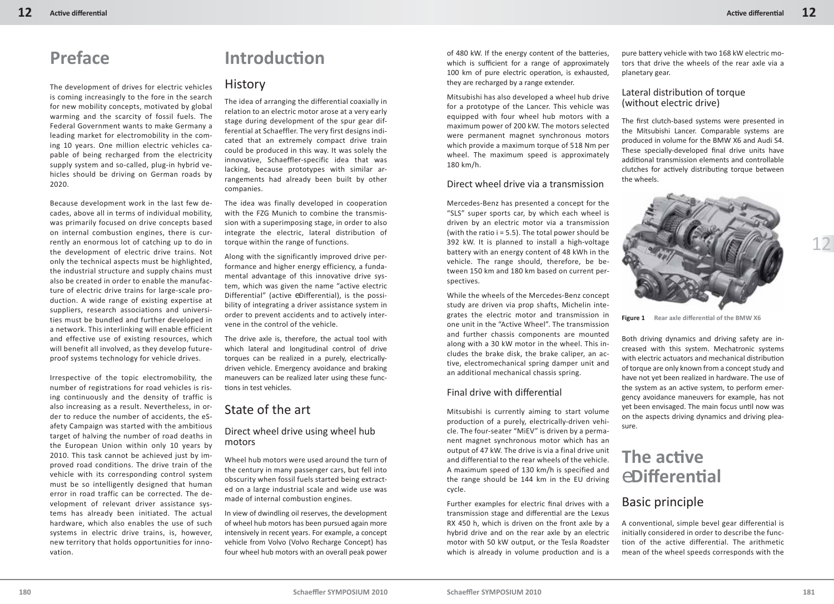# **Preface**

The development of drives for electric vehicles is coming increasingly to the fore in the search for new mobility concepts, motivated by global warming and the scarcity of fossil fuels. The Federal Government wants to make Germany a leading market for electromobility in the coming 10 years. One million electric vehicles capable of being recharged from the electricity supply system and so-called, plug-in hybrid vehicles should be driving on German roads by 2020.

Because development work in the last few decades, above all in terms of individual mobility, was primarily focused on drive concepts based on internal combustion engines, there is currently an enormous lot of catching up to do in the development of electric drive trains. Not only the technical aspects must be highlighted, the industrial structure and supply chains must also be created in order to enable the manufacture of electric drive trains for large-scale production. A wide range of existing expertise at suppliers, research associations and universities must be bundled and further developed in a network. This interlinking will enable efficient and effective use of existing resources, which will benefit all involved, as they develop futureproof systems technology for vehicle drives.

Irrespective of the topic electromobility, the number of registrations for road vehicles is rising continuously and the density of traffic is also increasing as a result. Nevertheless, in order to reduce the number of accidents, the eSafety Campaign was started with the ambitious target of halving the number of road deaths in the European Union within only 10 years by 2010. This task cannot be achieved just by improved road conditions. The drive train of the vehicle with its corresponding control system must be so intelligently designed that human error in road traffic can be corrected. The development of relevant driver assistance systems has already been initiated. The actual hardware, which also enables the use of such systems in electric drive trains, is, however, new territory that holds opportunities for innovation.

# **Introducti on**

#### **History**

The idea of arranging the differential coaxially in relation to an electric motor arose at a very early stage during development of the spur gear differential at Schaeffler. The very first designs indicated that an extremely compact drive train could be produced in this way. It was solely the innovative, Schaeffler-specific idea that was lacking, because prototypes with similar arrangements had already been built by other companies.

The idea was finally developed in cooperation with the FZG Munich to combine the transmission with a superimposing stage, in order to also integrate the electric, lateral distribution of torque within the range of functions.

Along with the significantly improved drive performance and higher energy efficiency, a fundamental advantage of this innovative drive system, which was given the name "active electric Differential" (active *e*Differential), is the possibility of integrating a driver assistance system in order to prevent accidents and to actively intervene in the control of the vehicle.

The drive axle is, therefore, the actual tool with which lateral and longitudinal control of drive torques can be realized in a purely, electricallydriven vehicle. Emergency avoidance and braking maneuvers can be realized later using these functions in test vehicles.

## State of the art

#### Direct wheel drive using wheel hub motors

Wheel hub motors were used around the turn of the century in many passenger cars, but fell into obscurity when fossil fuels started being extracted on a large industrial scale and wide use was made of internal combustion engines.

In view of dwindling oil reserves, the development of wheel hub motors has been pursued again more intensively in recent years. For example, a concept vehicle from Volvo (Volvo Recharge Concept) has four wheel hub motors with an overall peak power

of 480 kW. If the energy content of the batteries, which is sufficient for a range of approximately 100 km of pure electric operation, is exhausted, they are recharged by a range extender.

Mitsubishi has also developed a wheel hub drive for a prototype of the Lancer. This vehicle was equipped with four wheel hub motors with a maximum power of 200 kW. The motors selected were permanent magnet synchronous motors which provide a maximum torque of 518 Nm per wheel. The maximum speed is approximately 180 km/h.

#### Direct wheel drive via a transmission

Mercedes-Benz has presented a concept for the "SLS" super sports car, by which each wheel is driven by an electric motor via a transmission (with the ratio  $i = 5.5$ ). The total power should be 392 kW. It is planned to install a high-voltage battery with an energy content of 48 kWh in the vehicle. The range should, therefore, be between 150 km and 180 km based on current perspectives.

While the wheels of the Mercedes-Benz concept study are driven via prop shafts, Michelin integrates the electric motor and transmission in one unit in the "Active Wheel". The transmission and further chassis components are mounted along with a 30 kW motor in the wheel. This includes the brake disk, the brake caliper, an active, electromechanical spring damper unit and an additional mechanical chassis spring.

#### Final drive with differential

Mitsubishi is currently aiming to start volume production of a purely, electrically-driven vehicle. The four-seater "MiEV" is driven by a permanent magnet synchronous motor which has an output of 47 kW. The drive is via a final drive unit and differential to the rear wheels of the vehicle. A maximum speed of 130 km/h is specified and the range should be 144 km in the EU driving cycle.

Further examples for electric final drives with a transmission stage and differential are the Lexus RX 450 h, which is driven on the front axle by a hybrid drive and on the rear axle by an electric motor with 50 kW output, or the Tesla Roadster which is already in volume production and is a

pure battery vehicle with two 168 kW electric motors that drive the wheels of the rear axle via a planetary gear.

#### Lateral distribution of torque (without electric drive)

The first clutch-based systems were presented in the Mitsubishi Lancer. Comparable systems are produced in volume for the BMW X6 and Audi S4. These specially-developed final drive units have additional transmission elements and controllable clutches for actively distributing torque between the wheels.



**Figure 1** Rear axle differential of the BMW X6

Both driving dynamics and driving safety are increased with this system. Mechatronic systems with electric actuators and mechanical distribution of torque are only known from a concept study and have not yet been realized in hardware. The use of the system as an active system, to perform emergency avoidance maneuvers for example, has not yet been envisaged. The main focus until now was on the aspects driving dynamics and driving pleasure.

# **The acti ve**  *e***Diff erenti al**

## Basic principle

A conventional, simple bevel gear differential is initially considered in order to describe the function of the active differential. The arithmetic mean of the wheel speeds corresponds with the

12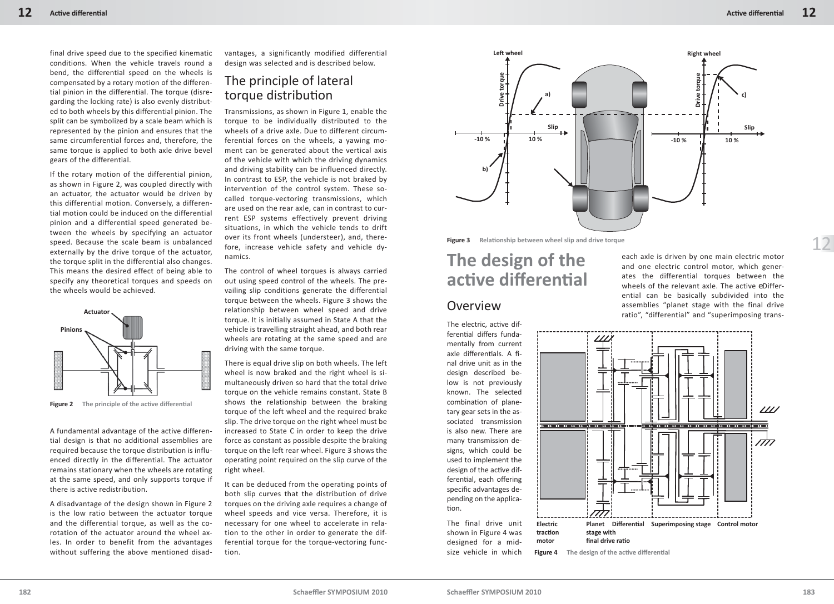final drive speed due to the specified kinematic conditions. When the vehicle travels round a bend, the differential speed on the wheels is compensated by a rotary motion of the differential pinion in the differential. The torque (disregarding the locking rate) is also evenly distributed to both wheels by this differential pinion. The split can be symbolized by a scale beam which is represented by the pinion and ensures that the same circumferential forces and, therefore, the same torque is applied to both axle drive bevel gears of the differential.

If the rotary motion of the differential pinion, as shown in Figure 2, was coupled directly with an actuator, the actuator would be driven by this differential motion. Conversely, a differential motion could be induced on the differential pinion and a differential speed generated between the wheels by specifying an actuator speed. Because the scale beam is unbalanced externally by the drive torque of the actuator, the torque split in the differential also changes. This means the desired effect of being able to specify any theoretical torques and speeds on the wheels would be achieved.



**Figure 2** The principle of the active differential

A fundamental advantage of the active differential design is that no additional assemblies are required because the torque distribution is influenced directly in the differential. The actuator remains stationary when the wheels are rotating at the same speed, and only supports torque if there is active redistribution.

A disadvantage of the design shown in Figure 2 is the low ratio between the actuator torque and the differential torque, as well as the corotation of the actuator around the wheel axles. In order to benefit from the advantages without suffering the above mentioned disadvantages, a significantly modified differential design was selected and is described below.

# The principle of lateral torque distribution

Transmissions, as shown in Figure 1, enable the torque to be individually distributed to the wheels of a drive axle. Due to different circumferential forces on the wheels, a yawing moment can be generated about the vertical axis of the vehicle with which the driving dynamics and driving stability can be influenced directly. In contrast to ESP, the vehicle is not braked by intervention of the control system. These socalled torque-vectoring transmissions, which are used on the rear axle, can in contrast to current ESP systems effectively prevent driving situations, in which the vehicle tends to drift over its front wheels (understeer), and, therefore, increase vehicle safety and vehicle dynamics.

The control of wheel torques is always carried out using speed control of the wheels. The prevailing slip conditions generate the differential torque between the wheels. Figure 3 shows the relationship between wheel speed and drive torque. It is initially assumed in State A that the vehicle is travelling straight ahead, and both rear wheels are rotating at the same speed and are driving with the same torque. Actuator and the second of the second of the second of the second of the second of the second of the second of the second of the second of the second of the second of the second of the second of the second of the second of

> There is equal drive slip on both wheels. The left wheel is now braked and the right wheel is simultaneously driven so hard that the total drive torque on the vehicle remains constant. State B shows the relationship between the braking torque of the left wheel and the required brake slip. The drive torque on the right wheel must be increased to State C in order to keep the drive force as constant as possible despite the braking torque on the left rear wheel. Figure 3 shows the operating point required on the slip curve of the right wheel.

> It can be deduced from the operating points of both slip curves that the distribution of drive torques on the driving axle requires a change of wheel speeds and vice versa. Therefore, it is necessary for one wheel to accelerate in relation to the other in order to generate the differential torque for the torque-vectoring function.



**Figure 3** Relationship between wheel slip and drive torque

# **The design of the acti ve diff erenti al**

#### Overview

The electric, active differential differs fundamentally from current axle differentials. A final drive unit as in the design described below is not previously known. The selected combination of planetary gear sets in the associated transmission is also new. There are many transmission designs, which could be used to implement the design of the active differential, each offering specific advantages depending on the application.

The final drive unit shown in Figure 4 was designed for a midsize vehicle in which

each axle is driven by one main electric motor and one electric control motor, which generates the differential torques between the wheels of the relevant axle. The active *e*Differential can be basically subdivided into the assemblies "planet stage with the final drive

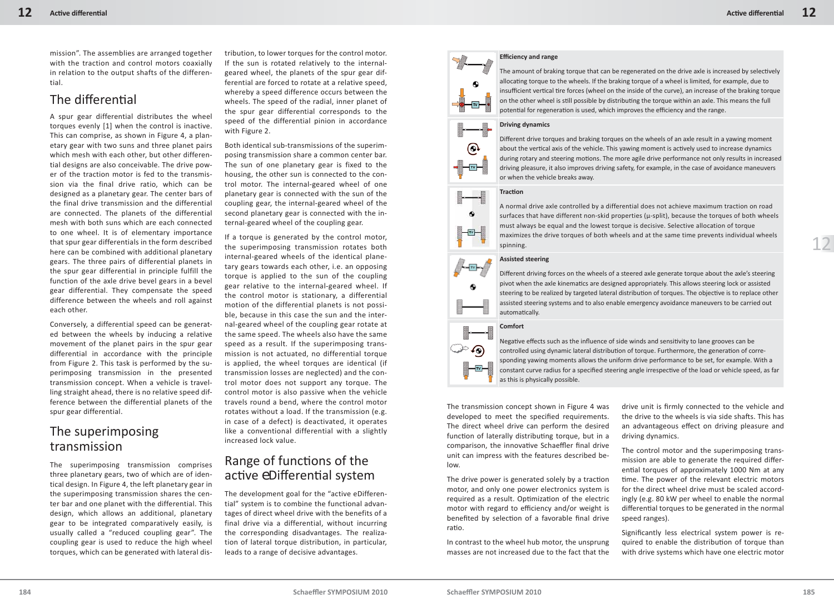mission". The assemblies are arranged together with the traction and control motors coaxially in relation to the output shafts of the differential.

## The differential

A spur gear differential distributes the wheel torques evenly [1] when the control is inactive. This can comprise, as shown in Figure 4, a planetary gear with two suns and three planet pairs which mesh with each other, but other differential designs are also conceivable. The drive power of the traction motor is fed to the transmission via the final drive ratio, which can be designed as a planetary gear. The center bars of the final drive transmission and the differential are connected. The planets of the differential mesh with both suns which are each connected to one wheel. It is of elementary importance that spur gear differentials in the form described here can be combined with additional planetary gears. The three pairs of differential planets in the spur gear differential in principle fulfill the function of the axle drive bevel gears in a bevel gear differential. They compensate the speed difference between the wheels and roll against each other.

Conversely, a differential speed can be generated between the wheels by inducing a relative movement of the planet pairs in the spur gear differential in accordance with the principle from Figure 2. This task is performed by the superimposing transmission in the presented transmission concept. When a vehicle is travelling straight ahead, there is no relative speed difference between the differential planets of the spur gear differential.

## The superimposing transmission

The superimposing transmission comprises three planetary gears, two of which are of identical design. In Figure 4, the left planetary gear in the superimposing transmission shares the center bar and one planet with the differential. This design, which allows an additional, planetary gear to be integrated comparatively easily, is usually called a "reduced coupling gear". The coupling gear is used to reduce the high wheel torques, which can be generated with lateral distribution, to lower torques for the control motor. If the sun is rotated relatively to the internalgeared wheel, the planets of the spur gear differential are forced to rotate at a relative speed, whereby a speed difference occurs between the wheels. The speed of the radial, inner planet of the spur gear differential corresponds to the speed of the differential pinion in accordance with Figure 2.

Both identical sub-transmissions of the superimposing transmission share a common center bar. The sun of one planetary gear is fixed to the housing, the other sun is connected to the control motor. The internal-geared wheel of one planetary gear is connected with the sun of the coupling gear, the internal-geared wheel of the second planetary gear is connected with the internal-geared wheel of the coupling gear.

If a torque is generated by the control motor, the superimposing transmission rotates both internal-geared wheels of the identical planetary gears towards each other, i.e. an opposing torque is applied to the sun of the coupling gear relative to the internal-geared wheel. If the control motor is stationary, a differential motion of the differential planets is not possible, because in this case the sun and the internal-geared wheel of the coupling gear rotate at the same speed. The wheels also have the same speed as a result. If the superimposing transmission is not actuated, no differential torque is applied, the wheel torques are identical (if transmission losses are neglected) and the control motor does not support any torque. The control motor is also passive when the vehicle travels round a bend, where the control motor rotates without a load. If the transmission (e.g. in case of a defect) is deactivated, it operates like a conventional differential with a slightly increased lock value.

## Range of functions of the active *e*Differential system

The development goal for the "active eDifferential" system is to combine the functional advantages of direct wheel drive with the benefits of a final drive via a differential, without incurring the corresponding disadvantages. The realization of lateral torque distribution, in particular, leads to a range of decisive advantages.



#### **Effi ciency and range**

The amount of braking torque that can be regenerated on the drive axle is increased by selectively allocating torque to the wheels. If the braking torque of a wheel is limited, for example, due to insufficient vertical tire forces (wheel on the inside of the curve), an increase of the braking torque on the other wheel is still possible by distributing the torque within an axle. This means the full potential for regeneration is used, which improves the efficiency and the range.

#### **Driving dynamics**

⊕

 $\bullet$ 

⊮⊸™

۰

≫ ∕⊙

⊢∞⊣

Different drive torques and braking torques on the wheels of an axle result in a yawing moment about the vertical axis of the vehicle. This yawing moment is actively used to increase dynamics during rotary and steering motions. The more agile drive performance not only results in increased driving pleasure, it also improves driving safety, for example, in the case of avoidance maneuvers or when the vehicle breaks away.

#### **Tracti on**

A normal drive axle controlled by a differential does not achieve maximum traction on road surfaces that have different non-skid properties (μ-split), because the torques of both wheels must always be equal and the lowest torque is decisive. Selective allocation of torque maximizes the drive torques of both wheels and at the same time prevents individual wheels spinning.

#### **Assisted steering**

Different driving forces on the wheels of a steered axle generate torque about the axle's steering pivot when the axle kinematics are designed appropriately. This allows steering lock or assisted steering to be realized by targeted lateral distribution of torques. The objective is to replace other assisted steering systems and to also enable emergency avoidance maneuvers to be carried out automatically.

#### **Comfort**

Negative effects such as the influence of side winds and sensitivity to lane grooves can be controlled using dynamic lateral distribution of torque. Furthermore, the generation of corresponding yawing moments allows the uniform drive performance to be set, for example. With a constant curve radius for a specified steering angle irrespective of the load or vehicle speed, as far as this is physically possible.

The transmission concept shown in Figure 4 was developed to meet the specified requirements. The direct wheel drive can perform the desired function of laterally distributing torque, but in a comparison, the innovative Schaeffler final drive unit can impress with the features described below.

The drive power is generated solely by a traction motor, and only one power electronics system is required as a result. Optimization of the electric motor with regard to efficiency and/or weight is benefited by selection of a favorable final drive ratio.

In contrast to the wheel hub motor, the unsprung masses are not increased due to the fact that the drive unit is firmly connected to the vehicle and the drive to the wheels is via side shafts. This has an advantageous effect on driving pleasure and driving dynamics.

The control motor and the superimposing transmission are able to generate the required differential torques of approximately 1000 Nm at any time. The power of the relevant electric motors for the direct wheel drive must be scaled accordingly (e.g. 80 kW per wheel to enable the normal differential torques to be generated in the normal speed ranges).

Significantly less electrical system power is required to enable the distribution of torque than with drive systems which have one electric motor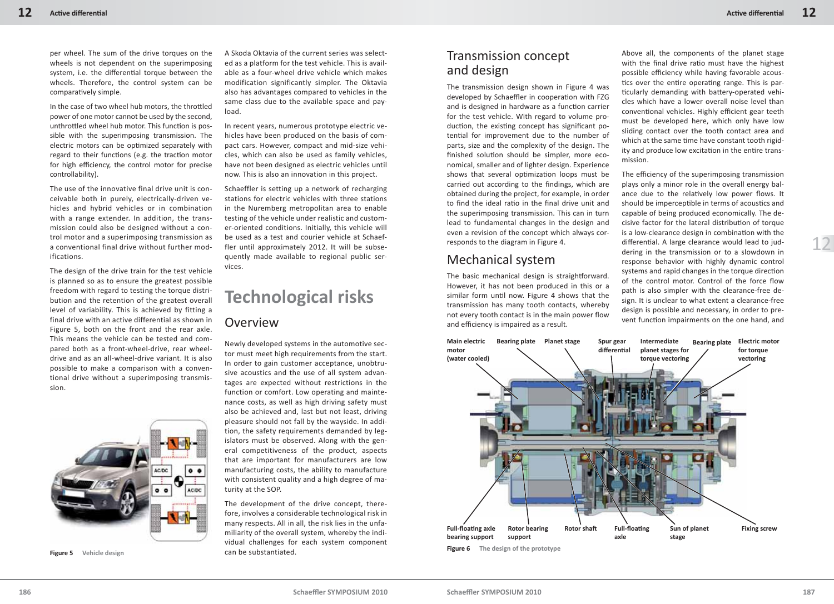per wheel. The sum of the drive torques on the wheels is not dependent on the superimposing system, i.e. the differential torque between the wheels. Therefore, the control system can be comparatively simple.

In the case of two wheel hub motors, the throttled power of one motor cannot be used by the second, unthrottled wheel hub motor. This function is possible with the superimposing transmission. The electric motors can be optimized separately with regard to their functions (e.g. the traction motor for high efficiency, the control motor for precise controllability).

The use of the innovative final drive unit is conceivable both in purely, electrically-driven vehicles and hybrid vehicles or in combination with a range extender. In addition, the transmission could also be designed without a control motor and a superimposing transmission as a conventional final drive without further modifications.

The design of the drive train for the test vehicle is planned so as to ensure the greatest possible freedom with regard to testing the torque distribution and the retention of the greatest overall level of variability. This is achieved by fitting a final drive with an active differential as shown in Figure 5, both on the front and the rear axle. This means the vehicle can be tested and compared both as a front-wheel-drive, rear wheeldrive and as an all-wheel-drive variant. It is also possible to make a comparison with a conventional drive without a superimposing transmission.



**Figure 5 Vehicle design**

A Skoda Oktavia of the current series was selected as a platform for the test vehicle. This is available as a four-wheel drive vehicle which makes modification significantly simpler. The Oktavia also has advantages compared to vehicles in the same class due to the available space and payload.

In recent years, numerous prototype electric vehicles have been produced on the basis of compact cars. However, compact and mid-size vehicles, which can also be used as family vehicles, have not been designed as electric vehicles until now. This is also an innovation in this project.

Schaeffler is setting up a network of recharging stations for electric vehicles with three stations in the Nuremberg metropolitan area to enable testing of the vehicle under realistic and customer-oriented conditions. Initially, this vehicle will be used as a test and courier vehicle at Schaeffler until approximately 2012. It will be subsequently made available to regional public services.

# **Technological risks** Overview

Newly developed systems in the automotive sector must meet high requirements from the start. In order to gain customer acceptance, unobtrusive acoustics and the use of all system advantages are expected without restrictions in the function or comfort. Low operating and maintenance costs, as well as high driving safety must also be achieved and, last but not least, driving pleasure should not fall by the wayside. In addition, the safety requirements demanded by legislators must be observed. Along with the general competitiveness of the product, aspects that are important for manufacturers are low manufacturing costs, the ability to manufacture with consistent quality and a high degree of maturity at the SOP.

The development of the drive concept, therefore, involves a considerable technological risk in many respects. All in all, the risk lies in the unfamiliarity of the overall system, whereby the individual challenges for each system component can be substantiated.

## Transmission concept and design

The transmission design shown in Figure 4 was developed by Schaeffler in cooperation with FZG and is designed in hardware as a function carrier for the test vehicle. With regard to volume production, the existing concept has significant potential for improvement due to the number of parts, size and the complexity of the design. The finished solution should be simpler, more economical, smaller and of lighter design. Experience shows that several optimization loops must be carried out according to the findings, which are obtained during the project, for example, in order to find the ideal ratio in the final drive unit and the superimposing transmission. This can in turn lead to fundamental changes in the design and even a revision of the concept which always corresponds to the diagram in Figure 4.

### Mechanical system

The basic mechanical design is straightforward. However, it has not been produced in this or a similar form until now. Figure 4 shows that the transmission has many tooth contacts, whereby not every tooth contact is in the main power flow and efficiency is impaired as a result.

Above all, the components of the planet stage with the final drive ratio must have the highest possible efficiency while having favorable acoustics over the entire operating range. This is particularly demanding with battery-operated vehicles which have a lower overall noise level than conventional vehicles. Highly efficient gear teeth must be developed here, which only have low sliding contact over the tooth contact area and which at the same time have constant tooth rigidity and produce low excitation in the entire transmission.

The efficiency of the superimposing transmission plays only a minor role in the overall energy balance due to the relatively low power flows. It should be imperceptible in terms of acoustics and capable of being produced economically. The decisive factor for the lateral distribution of torque is a low-clearance design in combination with the differential. A large clearance would lead to juddering in the transmission or to a slowdown in response behavior with highly dynamic control systems and rapid changes in the torque direction of the control motor. Control of the force flow path is also simpler with the clearance-free design. It is unclear to what extent a clearance-free design is possible and necessary, in order to prevent function impairments on the one hand, and



12